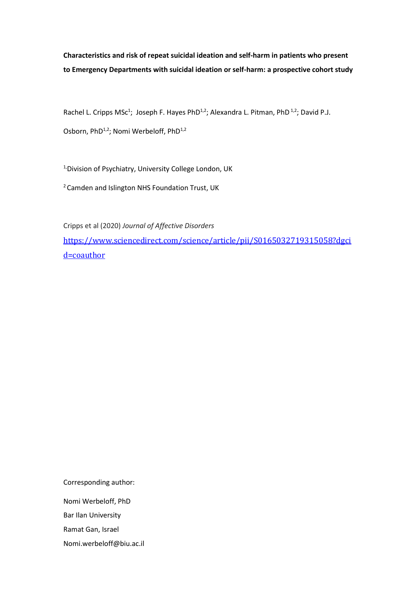**Characteristics and risk of repeat suicidal ideation and self-harm in patients who present to Emergency Departments with suicidal ideation or self-harm: a prospective cohort study**

Rachel L. Cripps MSc<sup>1</sup>; Joseph F. Hayes PhD<sup>1,2</sup>; Alexandra L. Pitman, PhD<sup>1,2</sup>; David P.J.

Osborn, PhD<sup>1,2</sup>; Nomi Werbeloff, PhD<sup>1,2</sup>

<sup>1,</sup>Division of Psychiatry, University College London, UK

<sup>2</sup> Camden and Islington NHS Foundation Trust, UK

Cripps et al (2020) *Journal of Affective Disorders* [https://www.sciencedirect.com/science/article/pii/S0165032719315058?dgci](https://www.sciencedirect.com/science/article/pii/S0165032719315058?dgcid=coauthor) [d=coauthor](https://www.sciencedirect.com/science/article/pii/S0165032719315058?dgcid=coauthor)

Corresponding author: Nomi Werbeloff, PhD Bar Ilan University Ramat Gan, Israel Nomi.werbeloff@biu.ac.il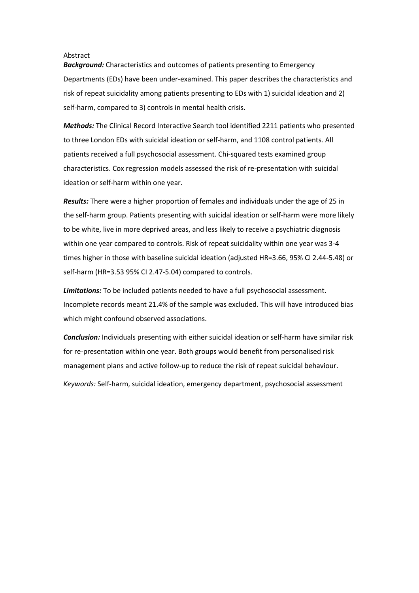#### Abstract

*Background:* Characteristics and outcomes of patients presenting to Emergency Departments (EDs) have been under-examined. This paper describes the characteristics and risk of repeat suicidality among patients presenting to EDs with 1) suicidal ideation and 2) self-harm, compared to 3) controls in mental health crisis.

*Methods:* The Clinical Record Interactive Search tool identified 2211 patients who presented to three London EDs with suicidal ideation or self-harm, and 1108 control patients. All patients received a full psychosocial assessment. Chi-squared tests examined group characteristics. Cox regression models assessed the risk of re-presentation with suicidal ideation or self-harm within one year.

*Results:* There were a higher proportion of females and individuals under the age of 25 in the self-harm group. Patients presenting with suicidal ideation or self-harm were more likely to be white, live in more deprived areas, and less likely to receive a psychiatric diagnosis within one year compared to controls. Risk of repeat suicidality within one year was 3-4 times higher in those with baseline suicidal ideation (adjusted HR=3.66, 95% CI 2.44-5.48) or self-harm (HR=3.53 95% CI 2.47-5.04) compared to controls.

*Limitations:* To be included patients needed to have a full psychosocial assessment. Incomplete records meant 21.4% of the sample was excluded. This will have introduced bias which might confound observed associations.

*Conclusion:* Individuals presenting with either suicidal ideation or self-harm have similar risk for re-presentation within one year. Both groups would benefit from personalised risk management plans and active follow-up to reduce the risk of repeat suicidal behaviour.

*Keywords:* Self-harm, suicidal ideation, emergency department, psychosocial assessment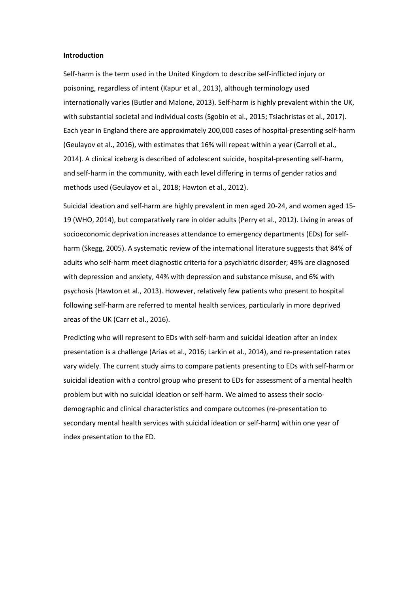#### **Introduction**

Self-harm is the term used in the United Kingdom to describe self-inflicted injury or poisoning, regardless of intent (Kapur et al., 2013), although terminology used internationally varies (Butler and Malone, 2013). Self-harm is highly prevalent within the UK, with substantial societal and individual costs (Sgobin et al., 2015; Tsiachristas et al., 2017). Each year in England there are approximately 200,000 cases of hospital-presenting self-harm (Geulayov et al., 2016), with estimates that 16% will repeat within a year (Carroll et al., 2014). A clinical iceberg is described of adolescent suicide, hospital-presenting self-harm, and self-harm in the community, with each level differing in terms of gender ratios and methods used (Geulayov et al., 2018; Hawton et al., 2012).

Suicidal ideation and self-harm are highly prevalent in men aged 20-24, and women aged 15- 19 (WHO, 2014), but comparatively rare in older adults (Perry et al., 2012). Living in areas of socioeconomic deprivation increases attendance to emergency departments (EDs) for selfharm (Skegg, 2005). A systematic review of the international literature suggests that 84% of adults who self-harm meet diagnostic criteria for a psychiatric disorder; 49% are diagnosed with depression and anxiety, 44% with depression and substance misuse, and 6% with psychosis (Hawton et al., 2013). However, relatively few patients who present to hospital following self-harm are referred to mental health services, particularly in more deprived areas of the UK (Carr et al., 2016).

Predicting who will represent to EDs with self-harm and suicidal ideation after an index presentation is a challenge (Arias et al., 2016; Larkin et al., 2014), and re-presentation rates vary widely. The current study aims to compare patients presenting to EDs with self-harm or suicidal ideation with a control group who present to EDs for assessment of a mental health problem but with no suicidal ideation or self-harm. We aimed to assess their sociodemographic and clinical characteristics and compare outcomes (re-presentation to secondary mental health services with suicidal ideation or self-harm) within one year of index presentation to the ED.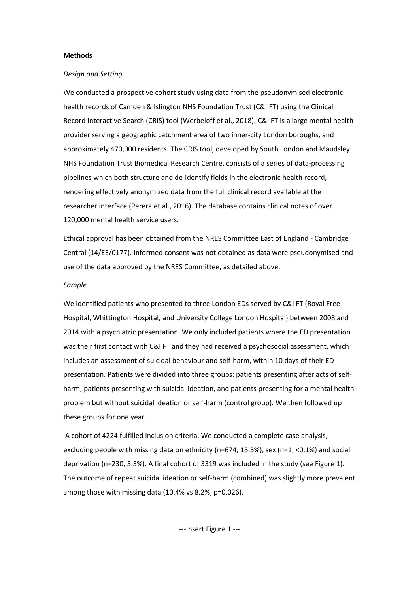## **Methods**

#### *Design and Setting*

We conducted a prospective cohort study using data from the pseudonymised electronic health records of Camden & Islington NHS Foundation Trust (C&I FT) using the Clinical Record Interactive Search (CRIS) tool (Werbeloff et al., 2018). C&I FT is a large mental health provider serving a geographic catchment area of two inner-city London boroughs, and approximately 470,000 residents. The CRIS tool, developed by South London and Maudsley NHS Foundation Trust Biomedical Research Centre, consists of a series of data-processing pipelines which both structure and de-identify fields in the electronic health record, rendering effectively anonymized data from the full clinical record available at the researcher interface (Perera et al., 2016). The database contains clinical notes of over 120,000 mental health service users.

Ethical approval has been obtained from the NRES Committee East of England - Cambridge Central (14/EE/0177). Informed consent was not obtained as data were pseudonymised and use of the data approved by the NRES Committee, as detailed above.

# *Sample*

We identified patients who presented to three London EDs served by C&I FT (Royal Free Hospital, Whittington Hospital, and University College London Hospital) between 2008 and 2014 with a psychiatric presentation. We only included patients where the ED presentation was their first contact with C&I FT and they had received a psychosocial assessment, which includes an assessment of suicidal behaviour and self-harm, within 10 days of their ED presentation. Patients were divided into three groups: patients presenting after acts of selfharm, patients presenting with suicidal ideation, and patients presenting for a mental health problem but without suicidal ideation or self-harm (control group). We then followed up these groups for one year.

A cohort of 4224 fulfilled inclusion criteria. We conducted a complete case analysis, excluding people with missing data on ethnicity (n=674, 15.5%), sex (n=1, <0.1%) and social deprivation (n=230, 5.3%). A final cohort of 3319 was included in the study (see Figure 1). The outcome of repeat suicidal ideation or self-harm (combined) was slightly more prevalent among those with missing data (10.4% vs 8.2%, p=0.026).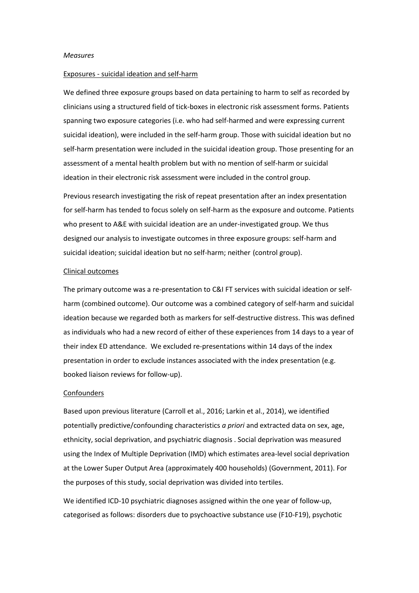#### *Measures*

#### Exposures - suicidal ideation and self-harm

We defined three exposure groups based on data pertaining to harm to self as recorded by clinicians using a structured field of tick-boxes in electronic risk assessment forms. Patients spanning two exposure categories (i.e. who had self-harmed and were expressing current suicidal ideation), were included in the self-harm group. Those with suicidal ideation but no self-harm presentation were included in the suicidal ideation group. Those presenting for an assessment of a mental health problem but with no mention of self-harm or suicidal ideation in their electronic risk assessment were included in the control group.

Previous research investigating the risk of repeat presentation after an index presentation for self-harm has tended to focus solely on self-harm as the exposure and outcome. Patients who present to A&E with suicidal ideation are an under-investigated group. We thus designed our analysis to investigate outcomes in three exposure groups: self-harm and suicidal ideation; suicidal ideation but no self-harm; neither (control group).

#### Clinical outcomes

The primary outcome was a re-presentation to C&I FT services with suicidal ideation or selfharm (combined outcome). Our outcome was a combined category of self-harm and suicidal ideation because we regarded both as markers for self-destructive distress. This was defined as individuals who had a new record of either of these experiences from 14 days to a year of their index ED attendance. We excluded re-presentations within 14 days of the index presentation in order to exclude instances associated with the index presentation (e.g. booked liaison reviews for follow-up).

#### **Confounders**

Based upon previous literature (Carroll et al., 2016; Larkin et al., 2014), we identified potentially predictive/confounding characteristics *a priori* and extracted data on sex, age, ethnicity, social deprivation, and psychiatric diagnosis . Social deprivation was measured using the Index of Multiple Deprivation (IMD) which estimates area-level social deprivation at the Lower Super Output Area (approximately 400 households) (Government, 2011). For the purposes of this study, social deprivation was divided into tertiles.

We identified ICD-10 psychiatric diagnoses assigned within the one year of follow-up, categorised as follows: disorders due to psychoactive substance use (F10-F19), psychotic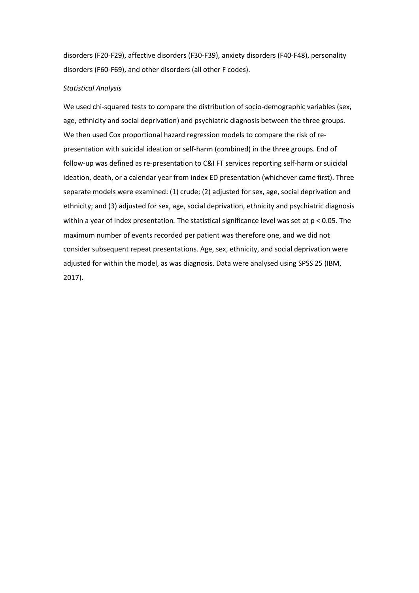disorders (F20-F29), affective disorders (F30-F39), anxiety disorders (F40-F48), personality disorders (F60-F69), and other disorders (all other F codes).

## *Statistical Analysis*

We used chi-squared tests to compare the distribution of socio-demographic variables (sex, age, ethnicity and social deprivation) and psychiatric diagnosis between the three groups. We then used Cox proportional hazard regression models to compare the risk of representation with suicidal ideation or self-harm (combined) in the three groups. End of follow-up was defined as re-presentation to C&I FT services reporting self-harm or suicidal ideation, death, or a calendar year from index ED presentation (whichever came first). Three separate models were examined: (1) crude; (2) adjusted for sex, age, social deprivation and ethnicity; and (3) adjusted for sex, age, social deprivation, ethnicity and psychiatric diagnosis within a year of index presentation. The statistical significance level was set at p < 0.05. The maximum number of events recorded per patient was therefore one, and we did not consider subsequent repeat presentations. Age, sex, ethnicity, and social deprivation were adjusted for within the model, as was diagnosis. Data were analysed using SPSS 25 (IBM, 2017).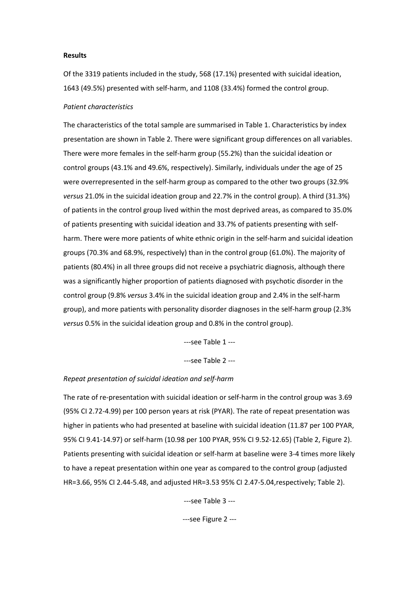### **Results**

Of the 3319 patients included in the study, 568 (17.1%) presented with suicidal ideation, 1643 (49.5%) presented with self-harm, and 1108 (33.4%) formed the control group.

## *Patient characteristics*

The characteristics of the total sample are summarised in Table 1. Characteristics by index presentation are shown in Table 2. There were significant group differences on all variables. There were more females in the self-harm group (55.2%) than the suicidal ideation or control groups (43.1% and 49.6%, respectively). Similarly, individuals under the age of 25 were overrepresented in the self-harm group as compared to the other two groups (32.9% *versus* 21.0% in the suicidal ideation group and 22.7% in the control group). A third (31.3%) of patients in the control group lived within the most deprived areas, as compared to 35.0% of patients presenting with suicidal ideation and 33.7% of patients presenting with selfharm. There were more patients of white ethnic origin in the self-harm and suicidal ideation groups (70.3% and 68.9%, respectively) than in the control group (61.0%). The majority of patients (80.4%) in all three groups did not receive a psychiatric diagnosis, although there was a significantly higher proportion of patients diagnosed with psychotic disorder in the control group (9.8% *versus* 3.4% in the suicidal ideation group and 2.4% in the self-harm group), and more patients with personality disorder diagnoses in the self-harm group (2.3% *versus* 0.5% in the suicidal ideation group and 0.8% in the control group).

---see Table 1 ---

---see Table 2 ---

### *Repeat presentation of suicidal ideation and self-harm*

The rate of re-presentation with suicidal ideation or self-harm in the control group was 3.69 (95% CI 2.72-4.99) per 100 person years at risk (PYAR). The rate of repeat presentation was higher in patients who had presented at baseline with suicidal ideation (11.87 per 100 PYAR, 95% CI 9.41-14.97) or self-harm (10.98 per 100 PYAR, 95% CI 9.52-12.65) (Table 2, Figure 2). Patients presenting with suicidal ideation or self-harm at baseline were 3-4 times more likely to have a repeat presentation within one year as compared to the control group (adjusted HR=3.66, 95% CI 2.44-5.48, and adjusted HR=3.53 95% CI 2.47-5.04,respectively; Table 2).

---see Table 3 ---

---see Figure 2 ---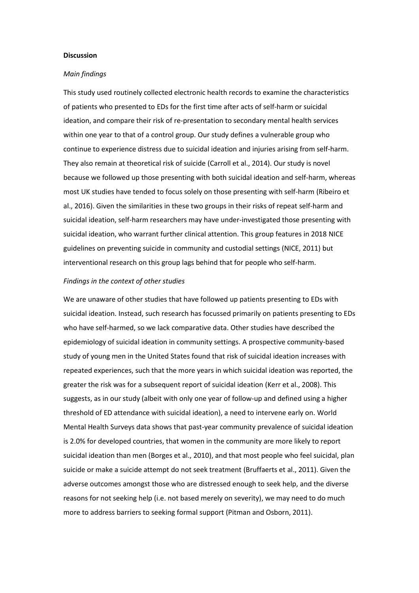### **Discussion**

#### *Main findings*

This study used routinely collected electronic health records to examine the characteristics of patients who presented to EDs for the first time after acts of self-harm or suicidal ideation, and compare their risk of re-presentation to secondary mental health services within one year to that of a control group. Our study defines a vulnerable group who continue to experience distress due to suicidal ideation and injuries arising from self-harm. They also remain at theoretical risk of suicide (Carroll et al., 2014). Our study is novel because we followed up those presenting with both suicidal ideation and self-harm, whereas most UK studies have tended to focus solely on those presenting with self-harm (Ribeiro et al., 2016). Given the similarities in these two groups in their risks of repeat self-harm and suicidal ideation, self-harm researchers may have under-investigated those presenting with suicidal ideation, who warrant further clinical attention. This group features in 2018 NICE guidelines on preventing suicide in community and custodial settings (NICE, 2011) but interventional research on this group lags behind that for people who self-harm.

## *Findings in the context of other studies*

We are unaware of other studies that have followed up patients presenting to EDs with suicidal ideation. Instead, such research has focussed primarily on patients presenting to EDs who have self-harmed, so we lack comparative data. Other studies have described the epidemiology of suicidal ideation in community settings. A prospective community-based study of young men in the United States found that risk of suicidal ideation increases with repeated experiences, such that the more years in which suicidal ideation was reported, the greater the risk was for a subsequent report of suicidal ideation (Kerr et al., 2008). This suggests, as in our study (albeit with only one year of follow-up and defined using a higher threshold of ED attendance with suicidal ideation), a need to intervene early on. World Mental Health Surveys data shows that past-year community prevalence of suicidal ideation is 2.0% for developed countries, that women in the community are more likely to report suicidal ideation than men (Borges et al., 2010), and that most people who feel suicidal, plan suicide or make a suicide attempt do not seek treatment (Bruffaerts et al., 2011). Given the adverse outcomes amongst those who are distressed enough to seek help, and the diverse reasons for not seeking help (i.e. not based merely on severity), we may need to do much more to address barriers to seeking formal support (Pitman and Osborn, 2011).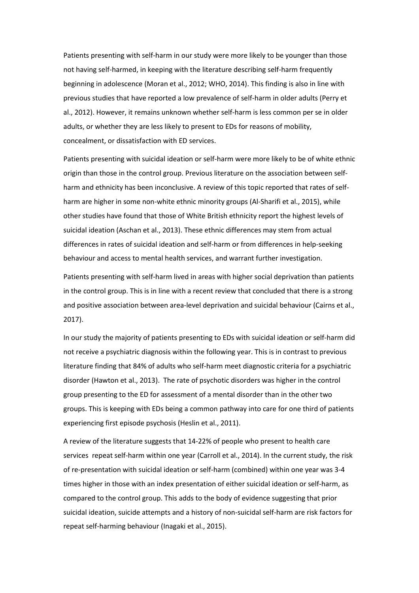Patients presenting with self-harm in our study were more likely to be younger than those not having self-harmed, in keeping with the literature describing self-harm frequently beginning in adolescence (Moran et al., 2012; WHO, 2014). This finding is also in line with previous studies that have reported a low prevalence of self-harm in older adults (Perry et al., 2012). However, it remains unknown whether self-harm is less common per se in older adults, or whether they are less likely to present to EDs for reasons of mobility, concealment, or dissatisfaction with ED services.

Patients presenting with suicidal ideation or self-harm were more likely to be of white ethnic origin than those in the control group. Previous literature on the association between selfharm and ethnicity has been inconclusive. A review of this topic reported that rates of selfharm are higher in some non-white ethnic minority groups (Al-Sharifi et al., 2015), while other studies have found that those of White British ethnicity report the highest levels of suicidal ideation (Aschan et al., 2013). These ethnic differences may stem from actual differences in rates of suicidal ideation and self-harm or from differences in help-seeking behaviour and access to mental health services, and warrant further investigation.

Patients presenting with self-harm lived in areas with higher social deprivation than patients in the control group. This is in line with a recent review that concluded that there is a strong and positive association between area-level deprivation and suicidal behaviour (Cairns et al., 2017).

In our study the majority of patients presenting to EDs with suicidal ideation or self-harm did not receive a psychiatric diagnosis within the following year. This is in contrast to previous literature finding that 84% of adults who self-harm meet diagnostic criteria for a psychiatric disorder (Hawton et al., 2013). The rate of psychotic disorders was higher in the control group presenting to the ED for assessment of a mental disorder than in the other two groups. This is keeping with EDs being a common pathway into care for one third of patients experiencing first episode psychosis (Heslin et al., 2011).

A review of the literature suggests that 14-22% of people who present to health care services repeat self-harm within one year (Carroll et al., 2014). In the current study, the risk of re-presentation with suicidal ideation or self-harm (combined) within one year was 3-4 times higher in those with an index presentation of either suicidal ideation or self-harm, as compared to the control group. This adds to the body of evidence suggesting that prior suicidal ideation, suicide attempts and a history of non-suicidal self-harm are risk factors for repeat self-harming behaviour (Inagaki et al., 2015).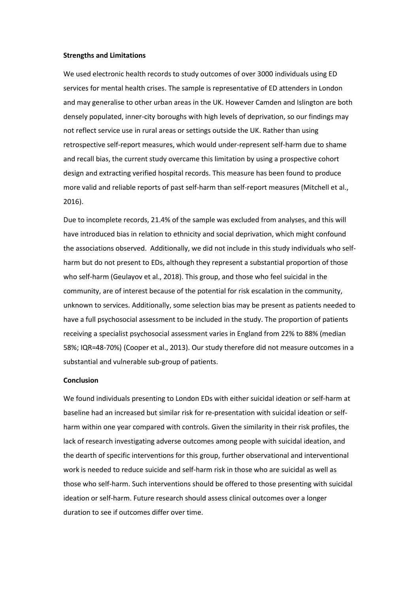#### **Strengths and Limitations**

We used electronic health records to study outcomes of over 3000 individuals using ED services for mental health crises. The sample is representative of ED attenders in London and may generalise to other urban areas in the UK. However Camden and Islington are both densely populated, inner-city boroughs with high levels of deprivation, so our findings may not reflect service use in rural areas or settings outside the UK. Rather than using retrospective self-report measures, which would under-represent self-harm due to shame and recall bias, the current study overcame this limitation by using a prospective cohort design and extracting verified hospital records. This measure has been found to produce more valid and reliable reports of past self-harm than self-report measures (Mitchell et al., 2016).

Due to incomplete records, 21.4% of the sample was excluded from analyses, and this will have introduced bias in relation to ethnicity and social deprivation, which might confound the associations observed. Additionally, we did not include in this study individuals who selfharm but do not present to EDs, although they represent a substantial proportion of those who self-harm (Geulayov et al., 2018). This group, and those who feel suicidal in the community, are of interest because of the potential for risk escalation in the community, unknown to services. Additionally, some selection bias may be present as patients needed to have a full psychosocial assessment to be included in the study. The proportion of patients receiving a specialist psychosocial assessment varies in England from 22% to 88% (median 58%; IQR=48-70%) (Cooper et al., 2013). Our study therefore did not measure outcomes in a substantial and vulnerable sub-group of patients.

#### **Conclusion**

We found individuals presenting to London EDs with either suicidal ideation or self-harm at baseline had an increased but similar risk for re-presentation with suicidal ideation or selfharm within one year compared with controls. Given the similarity in their risk profiles, the lack of research investigating adverse outcomes among people with suicidal ideation, and the dearth of specific interventions for this group, further observational and interventional work is needed to reduce suicide and self-harm risk in those who are suicidal as well as those who self-harm. Such interventions should be offered to those presenting with suicidal ideation or self-harm. Future research should assess clinical outcomes over a longer duration to see if outcomes differ over time.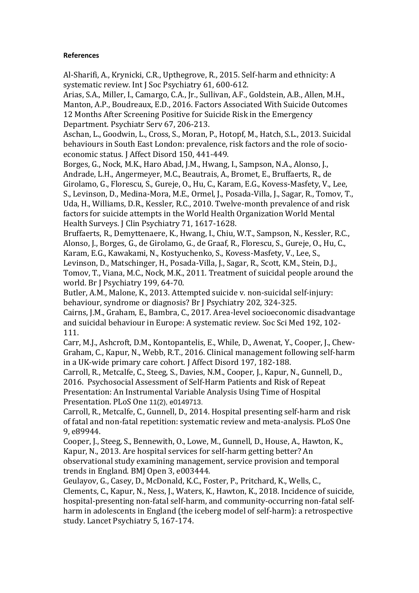# **References**

Al-Sharifi, A., Krynicki, C.R., Upthegrove, R., 2015. Self-harm and ethnicity: A systematic review. Int J Soc Psychiatry 61, 600-612.

Arias, S.A., Miller, I., Camargo, C.A., Jr., Sullivan, A.F., Goldstein, A.B., Allen, M.H., Manton, A.P., Boudreaux, E.D., 2016. Factors Associated With Suicide Outcomes 12 Months After Screening Positive for Suicide Risk in the Emergency Department. Psychiatr Serv 67, 206-213.

Aschan, L., Goodwin, L., Cross, S., Moran, P., Hotopf, M., Hatch, S.L., 2013. Suicidal behaviours in South East London: prevalence, risk factors and the role of socioeconomic status. J Affect Disord 150, 441-449.

Borges, G., Nock, M.K., Haro Abad, J.M., Hwang, I., Sampson, N.A., Alonso, J., Andrade, L.H., Angermeyer, M.C., Beautrais, A., Bromet, E., Bruffaerts, R., de Girolamo, G., Florescu, S., Gureje, O., Hu, C., Karam, E.G., Kovess-Masfety, V., Lee, S., Levinson, D., Medina-Mora, M.E., Ormel, J., Posada-Villa, J., Sagar, R., Tomov, T., Uda, H., Williams, D.R., Kessler, R.C., 2010. Twelve-month prevalence of and risk factors for suicide attempts in the World Health Organization World Mental Health Surveys. J Clin Psychiatry 71, 1617-1628.

Bruffaerts, R., Demyttenaere, K., Hwang, I., Chiu, W.T., Sampson, N., Kessler, R.C., Alonso, J., Borges, G., de Girolamo, G., de Graaf, R., Florescu, S., Gureje, O., Hu, C., Karam, E.G., Kawakami, N., Kostyuchenko, S., Kovess-Masfety, V., Lee, S.,

Levinson, D., Matschinger, H., Posada-Villa, J., Sagar, R., Scott, K.M., Stein, D.J., Tomov, T., Viana, M.C., Nock, M.K., 2011. Treatment of suicidal people around the world. Br J Psychiatry 199, 64-70.

Butler, A.M., Malone, K., 2013. Attempted suicide v. non-suicidal self-injury: behaviour, syndrome or diagnosis? Br J Psychiatry 202, 324-325.

Cairns, J.M., Graham, E., Bambra, C., 2017. Area-level socioeconomic disadvantage and suicidal behaviour in Europe: A systematic review. Soc Sci Med 192, 102- 111.

Carr, M.J., Ashcroft, D.M., Kontopantelis, E., While, D., Awenat, Y., Cooper, J., Chew-Graham, C., Kapur, N., Webb, R.T., 2016. Clinical management following self-harm in a UK-wide primary care cohort. J Affect Disord 197, 182-188.

[Carroll,](https://www.ncbi.nlm.nih.gov/pubmed/?term=Carroll%20R%5BAuthor%5D&cauthor=true&cauthor_uid=26918579) R., [Metcalfe,](https://www.ncbi.nlm.nih.gov/pubmed/?term=Metcalfe%20C%5BAuthor%5D&cauthor=true&cauthor_uid=26918579) C., [Steeg,](https://www.ncbi.nlm.nih.gov/pubmed/?term=Steeg%20S%5BAuthor%5D&cauthor=true&cauthor_uid=26918579) S., Davies, N.M., [Cooper,](https://www.ncbi.nlm.nih.gov/pubmed/?term=Cooper%20J%5BAuthor%5D&cauthor=true&cauthor_uid=26918579) J., Kapur, N., [Gunnell, D.,](https://www.ncbi.nlm.nih.gov/pubmed/?term=Gunnell%20D%5BAuthor%5D&cauthor=true&cauthor_uid=26918579)  [2016.](https://www.ncbi.nlm.nih.gov/pubmed/?term=Gunnell%20D%5BAuthor%5D&cauthor=true&cauthor_uid=26918579) Psychosocial Assessment of Self-Harm Patients and Risk of Repeat Presentation: An Instrumental Variable Analysis Using Time of Hospital Presentation. PLoS One 11(2), e0149713.

Carroll, R., Metcalfe, C., Gunnell, D., 2014. Hospital presenting self-harm and risk of fatal and non-fatal repetition: systematic review and meta-analysis. PLoS One 9, e89944.

Cooper, J., Steeg, S., Bennewith, O., Lowe, M., Gunnell, D., House, A., Hawton, K., Kapur, N., 2013. Are hospital services for self-harm getting better? An observational study examining management, service provision and temporal trends in England. BMJ Open 3, e003444.

Geulayov, G., Casey, D., McDonald, K.C., Foster, P., Pritchard, K., Wells, C., Clements, C., Kapur, N., Ness, J., Waters, K., Hawton, K., 2018. Incidence of suicide, hospital-presenting non-fatal self-harm, and community-occurring non-fatal selfharm in adolescents in England (the iceberg model of self-harm): a retrospective study. Lancet Psychiatry 5, 167-174.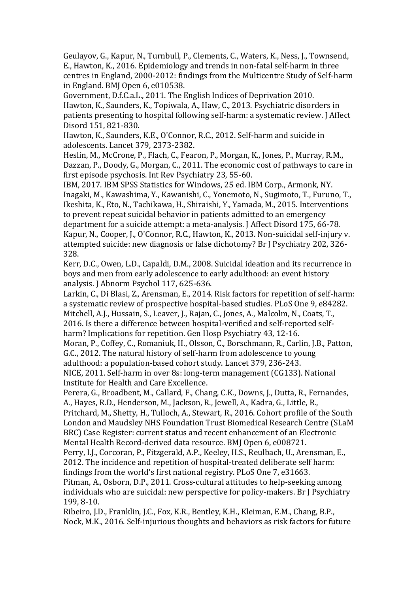Geulayov, G., Kapur, N., Turnbull, P., Clements, C., Waters, K., Ness, J., Townsend, E., Hawton, K., 2016. Epidemiology and trends in non-fatal self-harm in three centres in England, 2000-2012: findings from the Multicentre Study of Self-harm in England. BMJ Open 6, e010538.

Government, D.f.C.a.L., 2011. The English Indices of Deprivation 2010. Hawton, K., Saunders, K., Topiwala, A., Haw, C., 2013. Psychiatric disorders in patients presenting to hospital following self-harm: a systematic review. J Affect Disord 151, 821-830.

Hawton, K., Saunders, K.E., O'Connor, R.C., 2012. Self-harm and suicide in adolescents. Lancet 379, 2373-2382.

Heslin, M., McCrone, P., Flach, C., Fearon, P., Morgan, K., Jones, P., Murray, R.M., Dazzan, P., Doody, G., Morgan, C., 2011. The economic cost of pathways to care in first episode psychosis. Int Rev Psychiatry 23, 55-60.

IBM, 2017. IBM SPSS Statistics for Windows, 25 ed. IBM Corp., Armonk, NY. Inagaki, M., Kawashima, Y., Kawanishi, C., Yonemoto, N., Sugimoto, T., Furuno, T., Ikeshita, K., Eto, N., Tachikawa, H., Shiraishi, Y., Yamada, M., 2015. Interventions to prevent repeat suicidal behavior in patients admitted to an emergency department for a suicide attempt: a meta-analysis. J Affect Disord 175, 66-78. Kapur, N., Cooper, J., O'Connor, R.C., Hawton, K., 2013. Non-suicidal self-injury v. attempted suicide: new diagnosis or false dichotomy? Br J Psychiatry 202, 326- 328.

Kerr, D.C., Owen, L.D., Capaldi, D.M., 2008. Suicidal ideation and its recurrence in boys and men from early adolescence to early adulthood: an event history analysis. J Abnorm Psychol 117, 625-636.

Larkin, C., Di Blasi, Z., Arensman, E., 2014. Risk factors for repetition of self-harm: a systematic review of prospective hospital-based studies. PLoS One 9, e84282. Mitchell, A.J., Hussain, S., Leaver, J., Rajan, C., Jones, A., Malcolm, N., Coats, T., 2016. Is there a difference between hospital-verified and self-reported selfharm? Implications for repetition. Gen Hosp Psychiatry 43, 12-16.

Moran, P., Coffey, C., Romaniuk, H., Olsson, C., Borschmann, R., Carlin, J.B., Patton, G.C., 2012. The natural history of self-harm from adolescence to young adulthood: a population-based cohort study. Lancet 379, 236-243.

NICE, 2011. Self-harm in over 8s: long-term management (CG133). National Institute for Health and Care Excellence.

Perera, G., Broadbent, M., Callard, F., Chang, C.K., Downs, J., Dutta, R., Fernandes, A., Hayes, R.D., Henderson, M., Jackson, R., Jewell, A., Kadra, G., Little, R.,

Pritchard, M., Shetty, H., Tulloch, A., Stewart, R., 2016. Cohort profile of the South London and Maudsley NHS Foundation Trust Biomedical Research Centre (SLaM BRC) Case Register: current status and recent enhancement of an Electronic Mental Health Record-derived data resource. BMJ Open 6, e008721.

Perry, I.J., Corcoran, P., Fitzgerald, A.P., Keeley, H.S., Reulbach, U., Arensman, E., 2012. The incidence and repetition of hospital-treated deliberate self harm: findings from the world's first national registry. PLoS One 7, e31663.

Pitman, A., Osborn, D.P., 2011. Cross-cultural attitudes to help-seeking among individuals who are suicidal: new perspective for policy-makers. Br J Psychiatry 199, 8-10.

Ribeiro, J.D., Franklin, J.C., Fox, K.R., Bentley, K.H., Kleiman, E.M., Chang, B.P., Nock, M.K., 2016. Self-injurious thoughts and behaviors as risk factors for future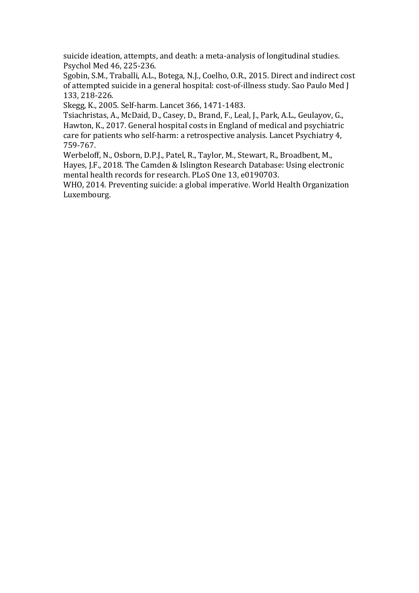suicide ideation, attempts, and death: a meta-analysis of longitudinal studies. Psychol Med 46, 225-236.

Sgobin, S.M., Traballi, A.L., Botega, N.J., Coelho, O.R., 2015. Direct and indirect cost of attempted suicide in a general hospital: cost-of-illness study. Sao Paulo Med J 133, 218-226.

Skegg, K., 2005. Self-harm. Lancet 366, 1471-1483.

Tsiachristas, A., McDaid, D., Casey, D., Brand, F., Leal, J., Park, A.L., Geulayov, G., Hawton, K., 2017. General hospital costs in England of medical and psychiatric care for patients who self-harm: a retrospective analysis. Lancet Psychiatry 4, 759-767.

Werbeloff, N., Osborn, D.P.J., Patel, R., Taylor, M., Stewart, R., Broadbent, M., Hayes, J.F., 2018. The Camden & Islington Research Database: Using electronic mental health records for research. PLoS One 13, e0190703.

WHO, 2014. Preventing suicide: a global imperative. World Health Organization Luxembourg.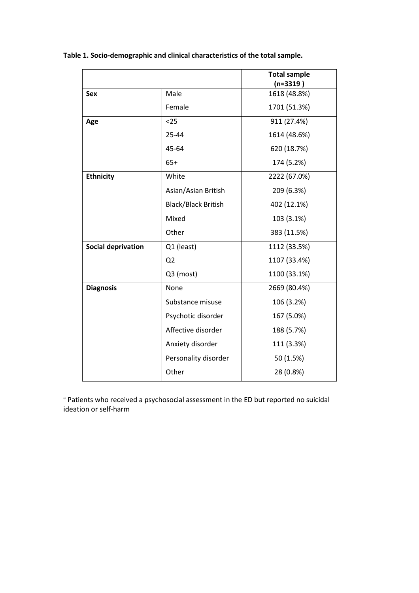**Table 1. Socio-demographic and clinical characteristics of the total sample.**

|                           |                            | <b>Total sample</b> |
|---------------------------|----------------------------|---------------------|
|                           |                            | $(n=3319)$          |
| <b>Sex</b>                | Male                       | 1618 (48.8%)        |
|                           | Female                     | 1701 (51.3%)        |
| Age                       | $25$                       | 911 (27.4%)         |
|                           | 25-44                      | 1614 (48.6%)        |
|                           | 45-64                      | 620 (18.7%)         |
|                           | $65+$                      | 174 (5.2%)          |
| <b>Ethnicity</b>          | White                      | 2222 (67.0%)        |
|                           | Asian/Asian British        | 209 (6.3%)          |
|                           | <b>Black/Black British</b> | 402 (12.1%)         |
|                           | Mixed                      | 103 (3.1%)          |
|                           | Other                      | 383 (11.5%)         |
| <b>Social deprivation</b> | Q1 (least)                 | 1112 (33.5%)        |
|                           | Q <sub>2</sub>             | 1107 (33.4%)        |
|                           | Q3 (most)                  | 1100 (33.1%)        |
| <b>Diagnosis</b>          | None                       | 2669 (80.4%)        |
|                           | Substance misuse           | 106 (3.2%)          |
|                           | Psychotic disorder         | 167 (5.0%)          |
|                           | Affective disorder         | 188 (5.7%)          |
|                           | Anxiety disorder           | 111 (3.3%)          |
|                           | Personality disorder       | 50 (1.5%)           |
|                           | Other                      | 28 (0.8%)           |

a Patients who received a psychosocial assessment in the ED but reported no suicidal ideation or self-harm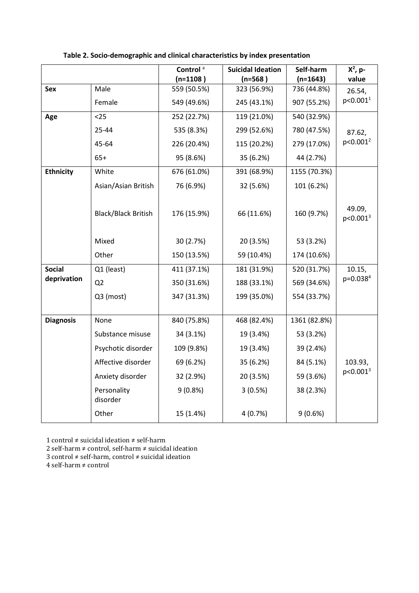|                              |                            | Control <sup>a</sup><br>$(n=1108)$ | <b>Suicidal Ideation</b><br>$(n=568)$ | Self-harm<br>$(n=1643)$ | $X^2$ , p-<br>value            |  |
|------------------------------|----------------------------|------------------------------------|---------------------------------------|-------------------------|--------------------------------|--|
| Sex                          | Male                       | 559 (50.5%)                        | 323 (56.9%)                           | 736 (44.8%)             | 26.54,<br>p<0.001 <sup>1</sup> |  |
|                              | Female                     | 549 (49.6%)                        | 245 (43.1%)                           | 907 (55.2%)             |                                |  |
| Age                          | $25$                       | 252 (22.7%)                        | 119 (21.0%)                           | 540 (32.9%)             |                                |  |
|                              | 25-44                      | 535 (8.3%)                         | 299 (52.6%)                           | 780 (47.5%)             | 87.62,                         |  |
|                              | 45-64                      | 226 (20.4%)                        | 115 (20.2%)                           | 279 (17.0%)             | $p<0.001^2$                    |  |
|                              | $65+$                      | 95 (8.6%)                          | 35 (6.2%)                             | 44 (2.7%)               |                                |  |
| <b>Ethnicity</b>             | White                      | 676 (61.0%)                        | 391 (68.9%)                           | 1155 (70.3%)            |                                |  |
|                              | Asian/Asian British        | 76 (6.9%)                          | 32 (5.6%)                             | 101 (6.2%)              |                                |  |
|                              | <b>Black/Black British</b> | 176 (15.9%)                        | 66 (11.6%)                            | 160 (9.7%)              | 49.09,<br>$p<0.001^3$          |  |
|                              | Mixed                      | 30 (2.7%)                          | 20 (3.5%)                             | 53 (3.2%)               |                                |  |
|                              | Other                      | 150 (13.5%)                        | 59 (10.4%)                            | 174 (10.6%)             |                                |  |
| <b>Social</b><br>deprivation | Q1 (least)                 | 411 (37.1%)                        | 181 (31.9%)                           | 520 (31.7%)             | 10.15,                         |  |
|                              | Q <sub>2</sub>             | 350 (31.6%)                        | 188 (33.1%)                           | 569 (34.6%)             | p=0.038 <sup>4</sup>           |  |
|                              | Q3 (most)                  | 347 (31.3%)                        | 199 (35.0%)                           | 554 (33.7%)             |                                |  |
|                              |                            |                                    |                                       |                         |                                |  |
| <b>Diagnosis</b>             | None                       | 840 (75.8%)                        | 468 (82.4%)                           | 1361 (82.8%)            |                                |  |
|                              | Substance misuse           | 34 (3.1%)                          | 19 (3.4%)                             | 53 (3.2%)               |                                |  |
|                              | Psychotic disorder         | 109 (9.8%)                         | 19 (3.4%)                             | 39 (2.4%)               |                                |  |
|                              | Affective disorder         | 69 (6.2%)                          | 35 (6.2%)                             | 84 (5.1%)               | 103.93,                        |  |
|                              | Anxiety disorder           | 32 (2.9%)                          | 20 (3.5%)                             | 59 (3.6%)               | $p<0.001^3$                    |  |
|                              | Personality<br>disorder    | 9(0.8%)<br>3(0.5%)                 |                                       | 38 (2.3%)               |                                |  |
|                              | Other                      | 15 (1.4%)                          | 4(0.7%)                               | 9(0.6%)                 |                                |  |

1 control ≠ suicidal ideation ≠ self-harm

2 self-harm ≠ control, self-harm ≠ suicidal ideation

3 control ≠ self-harm, control ≠ suicidal ideation

4 self-harm ≠ control